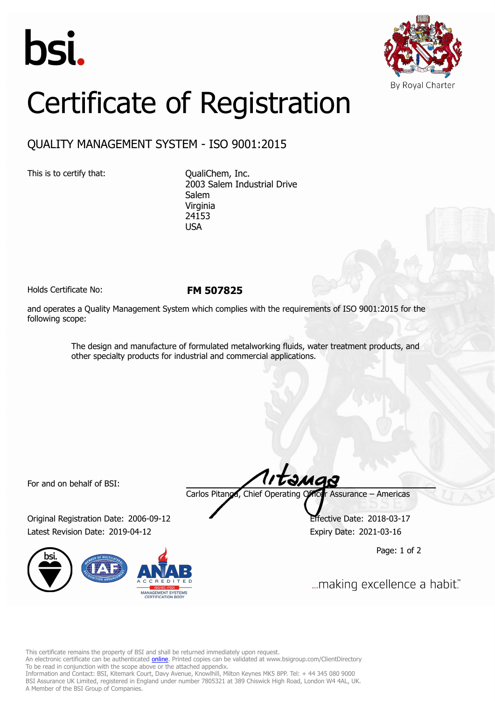



## Certificate of Registration

## QUALITY MANAGEMENT SYSTEM - ISO 9001:2015

This is to certify that: CualiChem, Inc.

2003 Salem Industrial Drive Salem Virginia 24153 USA

Holds Certificate No: **FM 507825**

and operates a Quality Management System which complies with the requirements of ISO 9001:2015 for the following scope:

> The design and manufacture of formulated metalworking fluids, water treatment products, and other specialty products for industrial and commercial applications.

For and on behalf of BSI:

Original Registration Date: 2006-09-12 Effective Date: 2018-03-17 Latest Revision Date: 2019-04-12 Expiry Date: 2021-03-16



tangs Carlos Pitanga, Chief Operating Officer Assurance – Americas

Page: 1 of 2

... making excellence a habit."

This certificate remains the property of BSI and shall be returned immediately upon request.

An electronic certificate can be authenticated *[online](https://pgplus.bsigroup.com/CertificateValidation/CertificateValidator.aspx?CertificateNumber=FM+507825&ReIssueDate=12%2f04%2f2019&Template=inc)*. Printed copies can be validated at www.bsigroup.com/ClientDirectory To be read in conjunction with the scope above or the attached appendix.

Information and Contact: BSI, Kitemark Court, Davy Avenue, Knowlhill, Milton Keynes MK5 8PP. Tel: + 44 345 080 9000 BSI Assurance UK Limited, registered in England under number 7805321 at 389 Chiswick High Road, London W4 4AL, UK. A Member of the BSI Group of Companies.